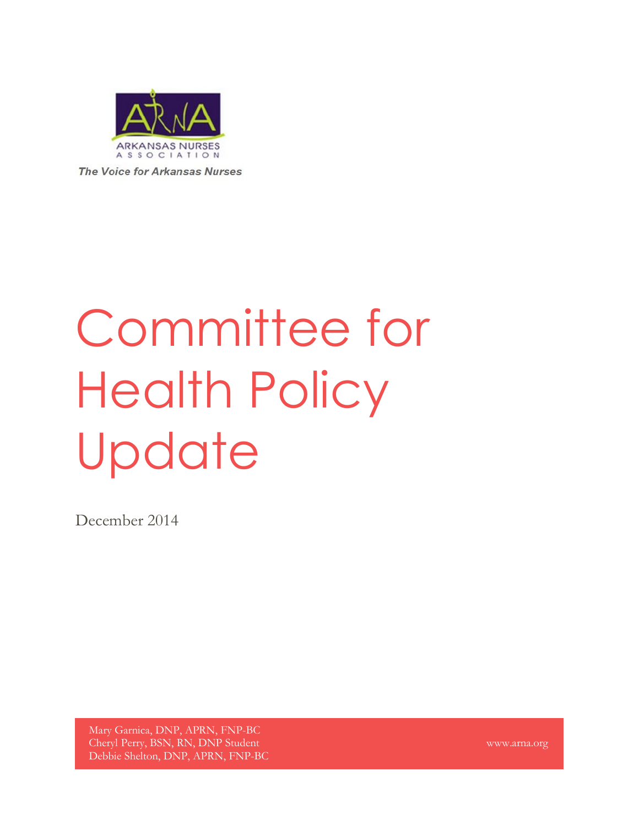

The Voice for Arkansas Nurses

# Committee for Health Policy Update

December 2014

Mary Garnica, DNP, APRN, FNP-BC Cheryl Perry, BSN, RN, DNP Student Debbie Shelton, DNP, APRN, FNP-BC

www.arna.org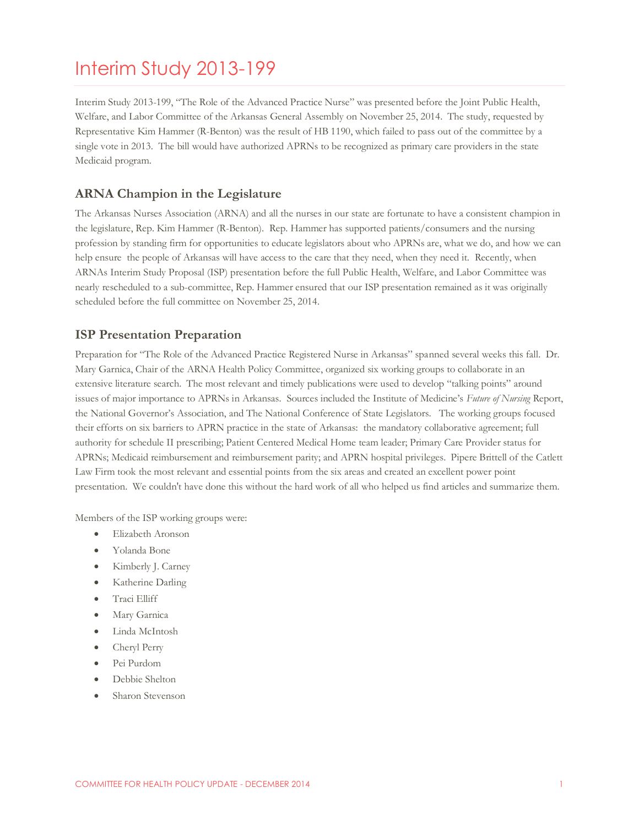## Interim Study 2013-199

Interim Study 2013-199, "The Role of the Advanced Practice Nurse" was presented before the Joint Public Health, Welfare, and Labor Committee of the Arkansas General Assembly on November 25, 2014. The study, requested by Representative Kim Hammer (R-Benton) was the result of HB 1190, which failed to pass out of the committee by a single vote in 2013. The bill would have authorized APRNs to be recognized as primary care providers in the state Medicaid program.

#### **ARNA Champion in the Legislature**

The Arkansas Nurses Association (ARNA) and all the nurses in our state are fortunate to have a consistent champion in the legislature, Rep. Kim Hammer (R-Benton). Rep. Hammer has supported patients/consumers and the nursing profession by standing firm for opportunities to educate legislators about who APRNs are, what we do, and how we can help ensure the people of Arkansas will have access to the care that they need, when they need it. Recently, when ARNAs Interim Study Proposal (ISP) presentation before the full Public Health, Welfare, and Labor Committee was nearly rescheduled to a sub-committee, Rep. Hammer ensured that our ISP presentation remained as it was originally scheduled before the full committee on November 25, 2014.

#### **ISP Presentation Preparation**

Preparation for "The Role of the Advanced Practice Registered Nurse in Arkansas" spanned several weeks this fall. Dr. Mary Garnica, Chair of the ARNA Health Policy Committee, organized six working groups to collaborate in an extensive literature search. The most relevant and timely publications were used to develop "talking points" around issues of major importance to APRNs in Arkansas. Sources included the Institute of Medicine's *Future of Nursing* Report, the National Governor's Association, and The National Conference of State Legislators. The working groups focused their efforts on six barriers to APRN practice in the state of Arkansas: the mandatory collaborative agreement; full authority for schedule II prescribing; Patient Centered Medical Home team leader; Primary Care Provider status for APRNs; Medicaid reimbursement and reimbursement parity; and APRN hospital privileges. Pipere Brittell of the Catlett Law Firm took the most relevant and essential points from the six areas and created an excellent power point presentation. We couldn't have done this without the hard work of all who helped us find articles and summarize them.

Members of the ISP working groups were:

- Elizabeth Aronson
- Yolanda Bone
- Kimberly J. Carney
- Katherine Darling
- **•** Traci Elliff
- Mary Garnica
- Linda McIntosh
- Cheryl Perry
- Pei Purdom
- Debbie Shelton
- Sharon Stevenson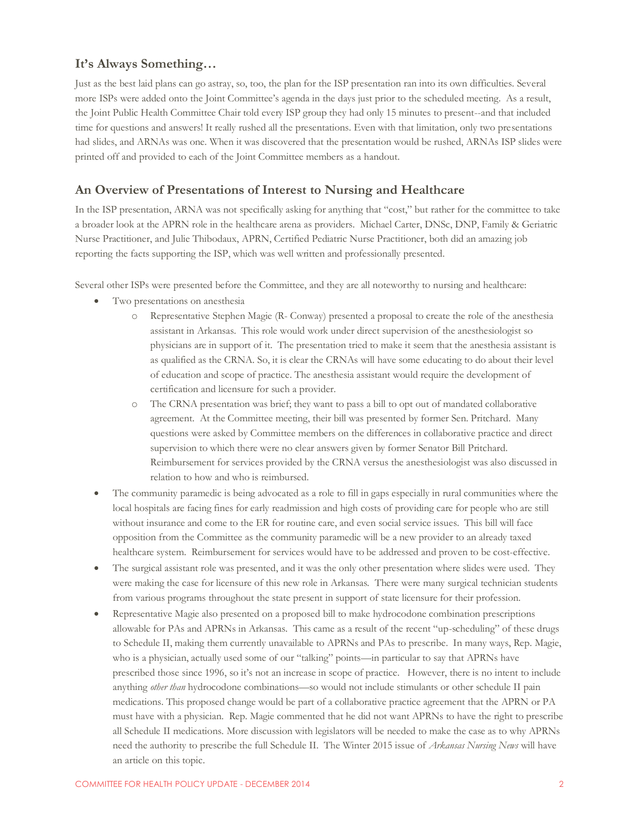#### **It's Always Something…**

Just as the best laid plans can go astray, so, too, the plan for the ISP presentation ran into its own difficulties. Several more ISPs were added onto the Joint Committee's agenda in the days just prior to the scheduled meeting. As a result, the Joint Public Health Committee Chair told every ISP group they had only 15 minutes to present--and that included time for questions and answers! It really rushed all the presentations. Even with that limitation, only two presentations had slides, and ARNAs was one. When it was discovered that the presentation would be rushed, ARNAs ISP slides were printed off and provided to each of the Joint Committee members as a handout.

#### **An Overview of Presentations of Interest to Nursing and Healthcare**

In the ISP presentation, ARNA was not specifically asking for anything that "cost," but rather for the committee to take a broader look at the APRN role in the healthcare arena as providers. Michael Carter, DNSc, DNP, Family & Geriatric Nurse Practitioner, and Julie Thibodaux, APRN, Certified Pediatric Nurse Practitioner, both did an amazing job reporting the facts supporting the ISP, which was well written and professionally presented.

Several other ISPs were presented before the Committee, and they are all noteworthy to nursing and healthcare:

- Two presentations on anesthesia
	- o Representative Stephen Magie (R- Conway) presented a proposal to create the role of the anesthesia assistant in Arkansas. This role would work under direct supervision of the anesthesiologist so physicians are in support of it. The presentation tried to make it seem that the anesthesia assistant is as qualified as the CRNA. So, it is clear the CRNAs will have some educating to do about their level of education and scope of practice. The anesthesia assistant would require the development of certification and licensure for such a provider.
	- o The CRNA presentation was brief; they want to pass a bill to opt out of mandated collaborative agreement. At the Committee meeting, their bill was presented by former Sen. Pritchard. Many questions were asked by Committee members on the differences in collaborative practice and direct supervision to which there were no clear answers given by former Senator Bill Pritchard. Reimbursement for services provided by the CRNA versus the anesthesiologist was also discussed in relation to how and who is reimbursed.
- The community paramedic is being advocated as a role to fill in gaps especially in rural communities where the local hospitals are facing fines for early readmission and high costs of providing care for people who are still without insurance and come to the ER for routine care, and even social service issues. This bill will face opposition from the Committee as the community paramedic will be a new provider to an already taxed healthcare system. Reimbursement for services would have to be addressed and proven to be cost-effective.
- The surgical assistant role was presented, and it was the only other presentation where slides were used. They were making the case for licensure of this new role in Arkansas. There were many surgical technician students from various programs throughout the state present in support of state licensure for their profession.
- Representative Magie also presented on a proposed bill to make hydrocodone combination prescriptions allowable for PAs and APRNs in Arkansas. This came as a result of the recent "up-scheduling" of these drugs to Schedule II, making them currently unavailable to APRNs and PAs to prescribe. In many ways, Rep. Magie, who is a physician, actually used some of our "talking" points—in particular to say that APRNs have prescribed those since 1996, so it's not an increase in scope of practice. However, there is no intent to include anything *other than* hydrocodone combinations—so would not include stimulants or other schedule II pain medications. This proposed change would be part of a collaborative practice agreement that the APRN or PA must have with a physician. Rep. Magie commented that he did not want APRNs to have the right to prescribe all Schedule II medications. More discussion with legislators will be needed to make the case as to why APRNs need the authority to prescribe the full Schedule II. The Winter 2015 issue of *Arkansas Nursing News* will have an article on this topic.